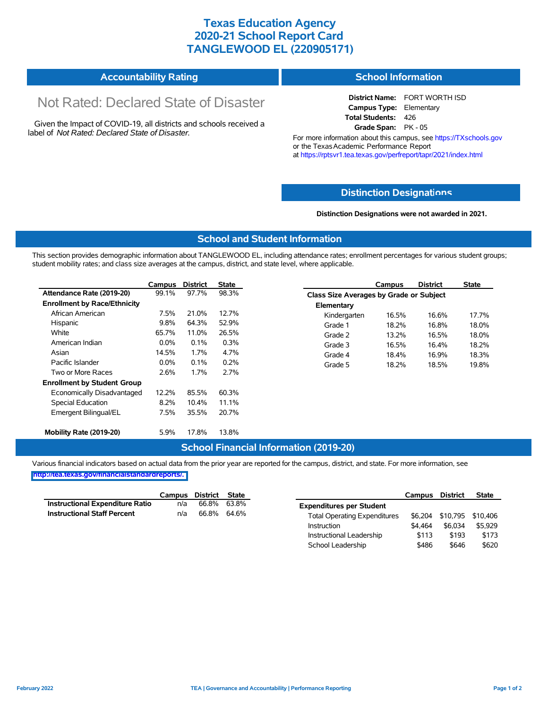## **Texas Education Agency 2020-21 School Report Card TANGLEWOOD EL (220905171)**

| <b>Accountability Rating</b> | <b>School Information</b> |
|------------------------------|---------------------------|
|------------------------------|---------------------------|

# Not Rated: Declared State of Disaster

Given the Impact of COVID-19, all districts and schools received a label of *Not Rated: Declared State of Disaster.*

**District Name:** FORT WORTH ISD **Campus Type:** Elementary **Total Students:** 426 **Grade Span:** PK - 05

For more information about this campus, see https://TXschools.gov or the Texas Academic Performance Report at https://rptsvr1.tea.texas.gov/perfreport/tapr/2021/index.html

### **Distinction Designat[ions](https://TXschools.gov)**

**Distinction Designations were not awarded in 2021.**

School Leadership  $$486$  \$646 \$620

#### **School and Student Information**

This section provides demographic information about TANGLEWOOD EL, including attendance rates; enrollment percentages for various student groups; student mobility rates; and class size averages at the campus, district, and state level, where applicable.

|                                     | Campus  | <b>District</b> | <b>State</b> | <b>District</b><br>Campus               | <b>State</b>   |
|-------------------------------------|---------|-----------------|--------------|-----------------------------------------|----------------|
| Attendance Rate (2019-20)           | 99.1%   | 97.7%           | 98.3%        | Class Size Averages by Grade or Subject |                |
| <b>Enrollment by Race/Ethnicity</b> |         |                 |              | Elementary                              |                |
| African American                    | 7.5%    | 21.0%           | 12.7%        | Kindergarten<br>16.5%                   | 16.6%<br>17.7% |
| Hispanic                            | 9.8%    | 64.3%           | 52.9%        | Grade 1<br>18.2%                        | 16.8%<br>18.0% |
| White                               | 65.7%   | 11.0%           | 26.5%        | Grade 2<br>13.2%                        | 16.5%<br>18.0% |
| American Indian                     | $0.0\%$ | 0.1%            | 0.3%         | Grade 3<br>16.5%                        | 16.4%<br>18.2% |
| Asian                               | 14.5%   | 1.7%            | 4.7%         | Grade 4<br>18.4%                        | 18.3%<br>16.9% |
| Pacific Islander                    | $0.0\%$ | 0.1%            | 0.2%         | Grade 5<br>18.2%                        | 18.5%<br>19.8% |
| Two or More Races                   | 2.6%    | 1.7%            | 2.7%         |                                         |                |
| <b>Enrollment by Student Group</b>  |         |                 |              |                                         |                |
| Economically Disadvantaged          | 12.2%   | 85.5%           | 60.3%        |                                         |                |
| Special Education                   | 8.2%    | 10.4%           | 11.1%        |                                         |                |
| Emergent Bilingual/EL               | 7.5%    | 35.5%           | 20.7%        |                                         |                |
|                                     |         |                 |              |                                         |                |
| Mobility Rate (2019-20)             | 5.9%    | 17.8%           | 13.8%        |                                         |                |

#### **School Financial Information (2019-20)**

Various financial indicators based on actual data from the prior year are reported for the campus, district, and state. For more information, see

**[http://tea.texas.gov/financialstandardreports/.](http://tea.texas.gov/financialstandardreports/)**

|                                        | Campus | District | <b>State</b> |                                     | Campus  | <b>District</b>           | <b>State</b> |
|----------------------------------------|--------|----------|--------------|-------------------------------------|---------|---------------------------|--------------|
| <b>Instructional Expenditure Ratio</b> | n/a    | 66.8%    | 63.8%        | <b>Expenditures per Student</b>     |         |                           |              |
| <b>Instructional Staff Percent</b>     | n/a    | 66.8%    | 64.6%        | <b>Total Operating Expenditures</b> |         | \$6,204 \$10,795 \$10,406 |              |
|                                        |        |          |              | Instruction                         | \$4.464 | \$6,034                   | \$5.929      |
|                                        |        |          |              | Instructional Leadership            | \$113   | \$193                     | \$173        |